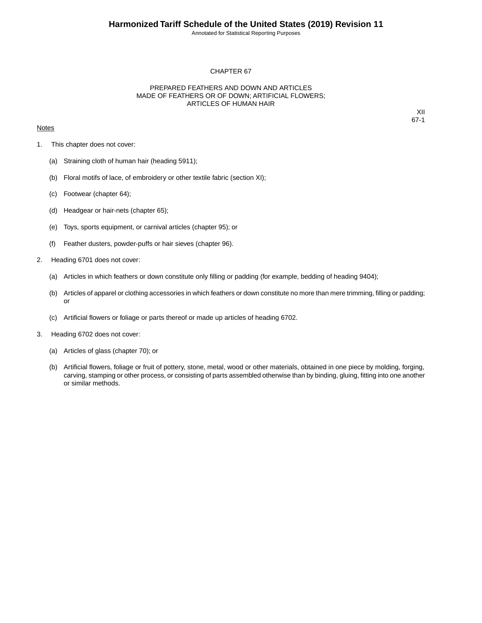Annotated for Statistical Reporting Purposes

## CHAPTER 67

## PREPARED FEATHERS AND DOWN AND ARTICLES MADE OF FEATHERS OR OF DOWN; ARTIFICIAL FLOWERS; ARTICLES OF HUMAN HAIR

## **Notes**

XII 67-1

- 1. This chapter does not cover:
	- (a) Straining cloth of human hair (heading 5911);
	- (b) Floral motifs of lace, of embroidery or other textile fabric (section XI);
	- (c) Footwear (chapter 64);
	- (d) Headgear or hair-nets (chapter 65);
	- (e) Toys, sports equipment, or carnival articles (chapter 95); or
	- (f) Feather dusters, powder-puffs or hair sieves (chapter 96).
- 2. Heading 6701 does not cover:
	- (a) Articles in which feathers or down constitute only filling or padding (for example, bedding of heading 9404);
	- (b) Articles of apparel or clothing accessories in which feathers or down constitute no more than mere trimming, filling or padding; or
	- (c) Artificial flowers or foliage or parts thereof or made up articles of heading 6702.
- 3. Heading 6702 does not cover:
	- (a) Articles of glass (chapter 70); or
	- (b) Artificial flowers, foliage or fruit of pottery, stone, metal, wood or other materials, obtained in one piece by molding, forging, carving, stamping or other process, or consisting of parts assembled otherwise than by binding, gluing, fitting into one another or similar methods.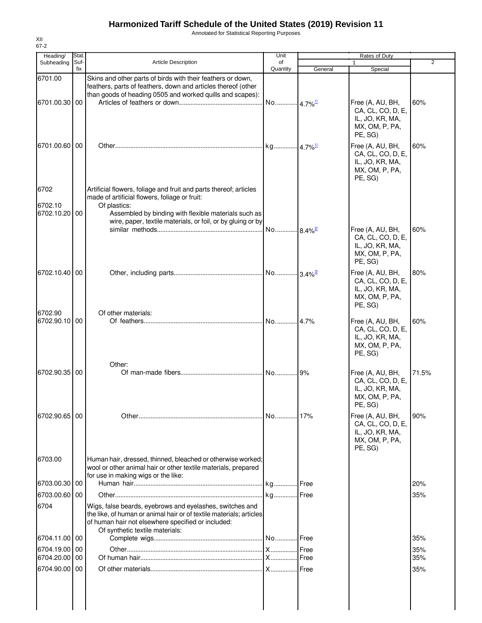## **Harmonized Tariff Schedule of the United States (2019) Revision 11**

Annotated for Statistical Reporting Purposes

| Heading/                         | Stat.       |                                                                                                                                                                                                                          | Unit                   |         | Rates of Duty                                                                         |       |
|----------------------------------|-------------|--------------------------------------------------------------------------------------------------------------------------------------------------------------------------------------------------------------------------|------------------------|---------|---------------------------------------------------------------------------------------|-------|
| Subheading                       | Suf-<br>fix | <b>Article Description</b>                                                                                                                                                                                               | of<br>Quantity         | General | 1<br>Special                                                                          | 2     |
| 6701.00                          |             | Skins and other parts of birds with their feathers or down,<br>feathers, parts of feathers, down and articles thereof (other<br>than goods of heading 0505 and worked quills and scapes):                                |                        |         |                                                                                       |       |
| 6701.00.30 00                    |             |                                                                                                                                                                                                                          | No 4.7% <sup>1/</sup>  |         | Free (A, AU, BH,<br>CA, CL, CO, D, E,<br>IL, JO, KR, MA,<br>MX, OM, P, PA,<br>PE, SG) | 60%   |
| 6701.00.60 00                    |             |                                                                                                                                                                                                                          |                        |         | Free (A, AU, BH,<br>CA, CL, CO, D, E,<br>IL, JO, KR, MA,<br>MX, OM, P, PA,<br>PE, SG) | 60%   |
| 6702<br>6702.10<br>6702.10.20 00 |             | Artificial flowers, foliage and fruit and parts thereof; articles<br>made of artificial flowers, foliage or fruit:<br>Of plastics:<br>Assembled by binding with flexible materials such as                               |                        |         |                                                                                       |       |
|                                  |             | wire, paper, textile materials, or foil, or by gluing or by                                                                                                                                                              | No  8.4% <sup>2/</sup> |         | Free (A, AU, BH,<br>CA, CL, CO, D, E,<br>IL, JO, KR, MA,<br>MX, OM, P, PA,<br>PE, SG) | 60%   |
| 6702.10.40 00                    |             |                                                                                                                                                                                                                          |                        |         | Free (A, AU, BH,<br>CA, CL, CO, D, E,<br>IL, JO, KR, MA,<br>MX, OM, P, PA,<br>PE, SG) | 80%   |
| 6702.90<br>6702.90.10 00         |             | Of other materials:                                                                                                                                                                                                      |                        |         | Free (A, AU, BH,<br>CA, CL, CO, D, E,<br>IL, JO, KR, MA,<br>MX, OM, P, PA,<br>PE, SG) | 60%   |
| 6702.90.35 00                    |             | Other:                                                                                                                                                                                                                   |                        |         | Free (A, AU, BH,<br>CA, CL, CO, D, E,<br>IL, JO, KR, MA,<br>MX, OM, P, PA,<br>PE, SG) | 71.5% |
| 6702.90.65 00                    |             |                                                                                                                                                                                                                          |                        |         | Free (A, AU, BH,<br>CA, CL, CO, D, E,<br>IL, JO, KR, MA,<br>MX, OM, P, PA,<br>PE, SG) | 90%   |
| 6703.00                          |             | Human hair, dressed, thinned, bleached or otherwise worked;<br>wool or other animal hair or other textile materials, prepared<br>for use in making wigs or the like:                                                     |                        |         |                                                                                       |       |
| 6703.00.30 00                    |             |                                                                                                                                                                                                                          |                        |         |                                                                                       | 20%   |
| 6703.00.60 00                    |             |                                                                                                                                                                                                                          |                        |         |                                                                                       | 35%   |
| 6704                             |             | Wigs, false beards, eyebrows and eyelashes, switches and<br>the like, of human or animal hair or of textile materials; articles<br>of human hair not elsewhere specified or included:<br>Of synthetic textile materials: |                        |         |                                                                                       |       |
| 6704.11.00 00                    |             |                                                                                                                                                                                                                          |                        |         |                                                                                       | 35%   |
| 6704.19.00 00                    |             |                                                                                                                                                                                                                          |                        |         |                                                                                       | 35%   |
| 6704.20.00 00                    |             |                                                                                                                                                                                                                          |                        |         |                                                                                       | 35%   |
| 6704.90.00 00                    |             |                                                                                                                                                                                                                          |                        |         |                                                                                       | 35%   |
|                                  |             |                                                                                                                                                                                                                          |                        |         |                                                                                       |       |

XII 67-2